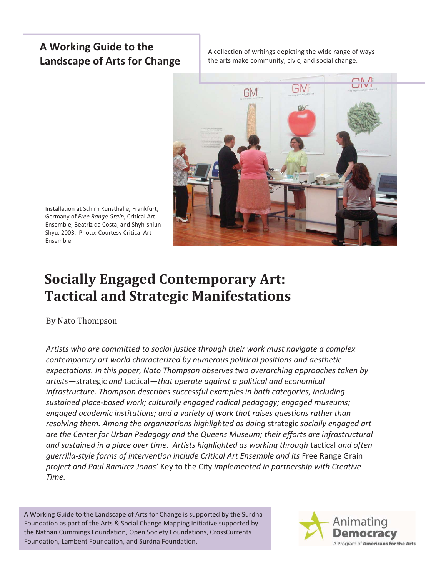# **A Working Guide to the Landscape of Arts for Change**

A collection of writings depicting the wide range of ways the arts make community, civic, and social change.



Installation at Schirn Kunsthalle, Frankfurt, Germany of *Free Range Grain*, Critical Art Ensemble, Beatriz da Costa, and Shyh-shiun Shyu, 2003. Photo: Courtesy Critical Art Ensemble.

# **Socially Engaged Contemporary Art: Tactical and Strategic Manifestations**

By Nato Thompson

*Artists who are committed to social justice through their work must navigate a complex contemporary art world characterized by numerous political positions and aesthetic expectations. In this paper, Nato Thompson observes two overarching approaches taken by artists—*strategic *and* tactical*—that operate against a political and economical infrastructure. Thompson describes successful examples in both categories, including sustained place-based work; culturally engaged radical pedagogy; engaged museums; engaged academic institutions; and a variety of work that raises questions rather than resolving them. Among the organizations highlighted as doing* strategic *socially engaged art are the Center for Urban Pedagogy and the Queens Museum; their efforts are infrastructural and sustained in a place over time. Artists highlighted as working through* tactical *and often guerrilla-style forms of intervention include Critical Art Ensemble and its* Free Range Grain *project and Paul Ramirez Jonas'* Key to the City *implemented in partnership with Creative Time.* 

A Working Guide to the Landscape of Arts for Change is supported by the Surdna Foundation as part of the Arts & Social Change Mapping Initiative supported by the Nathan Cummings Foundation, Open Society Foundations, CrossCurrents Foundation, Lambent Foundation, and Surdna Foundation.

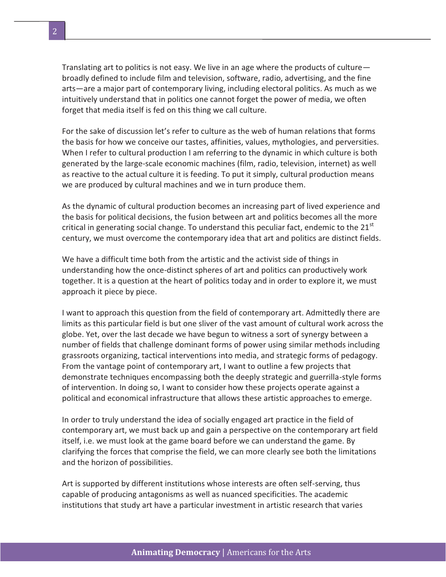Translating art to politics is not easy. We live in an age where the products of culture broadly defined to include film and television, software, radio, advertising, and the fine arts—are a major part of contemporary living, including electoral politics. As much as we intuitively understand that in politics one cannot forget the power of media, we often forget that media itself is fed on this thing we call culture.

For the sake of discussion let's refer to culture as the web of human relations that forms the basis for how we conceive our tastes, affinities, values, mythologies, and perversities. When I refer to cultural production I am referring to the dynamic in which culture is both generated by the large-scale economic machines (film, radio, television, internet) as well as reactive to the actual culture it is feeding. To put it simply, cultural production means we are produced by cultural machines and we in turn produce them.

As the dynamic of cultural production becomes an increasing part of lived experience and the basis for political decisions, the fusion between art and politics becomes all the more critical in generating social change. To understand this peculiar fact, endemic to the  $21^{st}$ century, we must overcome the contemporary idea that art and politics are distinct fields.

We have a difficult time both from the artistic and the activist side of things in understanding how the once-distinct spheres of art and politics can productively work together. It is a question at the heart of politics today and in order to explore it, we must approach it piece by piece.

I want to approach this question from the field of contemporary art. Admittedly there are limits as this particular field is but one sliver of the vast amount of cultural work across the globe. Yet, over the last decade we have begun to witness a sort of synergy between a number of fields that challenge dominant forms of power using similar methods including grassroots organizing, tactical interventions into media, and strategic forms of pedagogy. From the vantage point of contemporary art, I want to outline a few projects that demonstrate techniques encompassing both the deeply strategic and guerrilla-style forms of intervention. In doing so, I want to consider how these projects operate against a political and economical infrastructure that allows these artistic approaches to emerge.

In order to truly understand the idea of socially engaged art practice in the field of contemporary art, we must back up and gain a perspective on the contemporary art field itself, i.e. we must look at the game board before we can understand the game. By clarifying the forces that comprise the field, we can more clearly see both the limitations and the horizon of possibilities.

Art is supported by different institutions whose interests are often self-serving, thus capable of producing antagonisms as well as nuanced specificities. The academic institutions that study art have a particular investment in artistic research that varies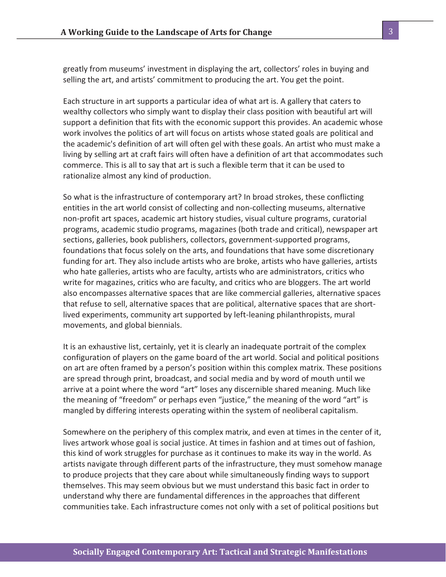greatly from museums' investment in displaying the art, collectors' roles in buying and selling the art, and artists' commitment to producing the art. You get the point.

Each structure in art supports a particular idea of what art is. A gallery that caters to wealthy collectors who simply want to display their class position with beautiful art will support a definition that fits with the economic support this provides. An academic whose work involves the politics of art will focus on artists whose stated goals are political and the academic's definition of art will often gel with these goals. An artist who must make a living by selling art at craft fairs will often have a definition of art that accommodates such commerce. This is all to say that art is such a flexible term that it can be used to rationalize almost any kind of production.

So what is the infrastructure of contemporary art? In broad strokes, these conflicting entities in the art world consist of collecting and non-collecting museums, alternative non-profit art spaces, academic art history studies, visual culture programs, curatorial programs, academic studio programs, magazines (both trade and critical), newspaper art sections, galleries, book publishers, collectors, government-supported programs, foundations that focus solely on the arts, and foundations that have some discretionary funding for art. They also include artists who are broke, artists who have galleries, artists who hate galleries, artists who are faculty, artists who are administrators, critics who write for magazines, critics who are faculty, and critics who are bloggers. The art world also encompasses alternative spaces that are like commercial galleries, alternative spaces that refuse to sell, alternative spaces that are political, alternative spaces that are shortlived experiments, community art supported by left-leaning philanthropists, mural movements, and global biennials.

It is an exhaustive list, certainly, yet it is clearly an inadequate portrait of the complex configuration of players on the game board of the art world. Social and political positions on art are often framed by a person's position within this complex matrix. These positions are spread through print, broadcast, and social media and by word of mouth until we arrive at a point where the word "art" loses any discernible shared meaning. Much like the meaning of "freedom" or perhaps even "justice," the meaning of the word "art" is mangled by differing interests operating within the system of neoliberal capitalism.

Somewhere on the periphery of this complex matrix, and even at times in the center of it, lives artwork whose goal is social justice. At times in fashion and at times out of fashion, this kind of work struggles for purchase as it continues to make its way in the world. As artists navigate through different parts of the infrastructure, they must somehow manage to produce projects that they care about while simultaneously finding ways to support themselves. This may seem obvious but we must understand this basic fact in order to understand why there are fundamental differences in the approaches that different communities take. Each infrastructure comes not only with a set of political positions but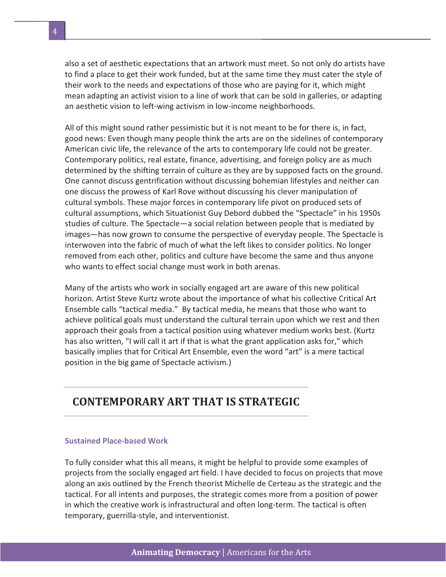also a set of aesthetic expectations that an artwork must meet. So not only do artists have to find a place to get their work funded, but at the same time they must cater the style of their work to the needs and expectations of those who are paying for it, which might mean adapting an activist vision to a line of work that can be sold in galleries, or adapting an aesthetic vision to left-wing activism in low-income neighborhoods.

All of this might sound rather pessimistic but it is not meant to be for there is, in fact, good news: Even though many people think the arts are on the sidelines of contemporary American civic life, the relevance of the arts to contemporary life could not be greater. Contemporary politics, real estate, finance, advertising, and foreign policy are as much determined by the shifting terrain of culture as they are by supposed facts on the ground. One cannot discuss gentrification without discussing bohemian lifestyles and neither can one discuss the prowess of Karl Rove without discussing his clever manipulation of cultural symbols. These major forces in contemporary life pivot on produced sets of cultural assumptions, which Situationist Guy Debord dubbed the "Spectacle" in his 1950s studies of culture. The Spectacle—a social relation between people that is mediated by images—has now grown to consume the perspective of everyday people. The Spectacle is interwoven into the fabric of much of what the left likes to consider politics. No longer removed from each other, politics and culture have become the same and thus anyone who wants to effect social change must work in both arenas.

Many of the artists who work in socially engaged art are aware of this new political horizon. Artist Steve Kurtz wrote about the importance of what his collective Critical Art Ensemble calls "tactical media." By tactical media, he means that those who want to achieve political goals must understand the cultural terrain upon which we rest and then approach their goals from a tactical position using whatever medium works best. (Kurtz has also written, "I will call it art if that is what the grant application asks for," which basically implies that for Critical Art Ensemble, even the word "art" is a mere tactical position in the big game of Spectacle activism.)

# **CONTEMPORARY ART THAT IS STRATEGIC**

## **Sustained Place-based Work**

To fully consider what this all means, it might be helpful to provide some examples of projects from the socially engaged art field. I have decided to focus on projects that move along an axis outlined by the French theorist Michelle de Certeau as the strategic and the tactical. For all intents and purposes, the strategic comes more from a position of power in which the creative work is infrastructural and often long-term. The tactical is often temporary, guerrilla-style, and interventionist.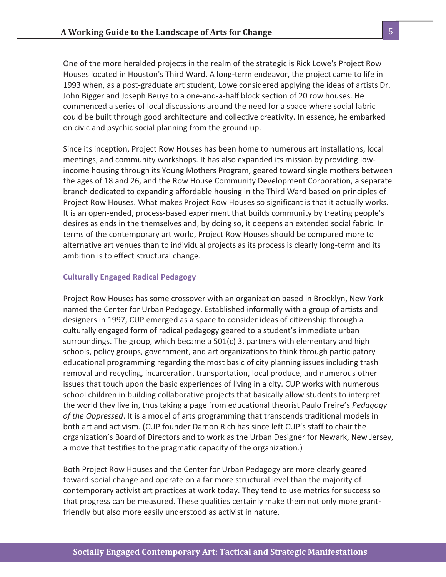One of the more heralded projects in the realm of the strategic is Rick Lowe's Project Row Houses located in Houston's Third Ward. A long-term endeavor, the project came to life in 1993 when, as a post-graduate art student, Lowe considered applying the ideas of artists Dr. John Bigger and Joseph Beuys to a one-and-a-half block section of 20 row houses. He commenced a series of local discussions around the need for a space where social fabric could be built through good architecture and collective creativity. In essence, he embarked on civic and psychic social planning from the ground up.

Since its inception, Project Row Houses has been home to numerous art installations, local meetings, and community workshops. It has also expanded its mission by providing lowincome housing through its Young Mothers Program, geared toward single mothers between the ages of 18 and 26, and the Row House Community Development Corporation, a separate branch dedicated to expanding affordable housing in the Third Ward based on principles of Project Row Houses. What makes Project Row Houses so significant is that it actually works. It is an open-ended, process-based experiment that builds community by treating people's desires as ends in the themselves and, by doing so, it deepens an extended social fabric. In terms of the contemporary art world, Project Row Houses should be compared more to alternative art venues than to individual projects as its process is clearly long-term and its ambition is to effect structural change.

#### **Culturally Engaged Radical Pedagogy**

Project Row Houses has some crossover with an organization based in Brooklyn, New York named the Center for Urban Pedagogy. Established informally with a group of artists and designers in 1997, CUP emerged as a space to consider ideas of citizenship through a culturally engaged form of radical pedagogy geared to a student's immediate urban surroundings. The group, which became a 501(c) 3, partners with elementary and high schools, policy groups, government, and art organizations to think through participatory educational programming regarding the most basic of city planning issues including trash removal and recycling, incarceration, transportation, local produce, and numerous other issues that touch upon the basic experiences of living in a city. CUP works with numerous school children in building collaborative projects that basically allow students to interpret the world they live in, thus taking a page from educational theorist Paulo Freire's *Pedagogy of the Oppressed*. It is a model of arts programming that transcends traditional models in both art and activism. (CUP founder Damon Rich has since left CUP's staff to chair the organization's Board of Directors and to work as the Urban Designer for Newark, New Jersey, a move that testifies to the pragmatic capacity of the organization.)

Both Project Row Houses and the Center for Urban Pedagogy are more clearly geared toward social change and operate on a far more structural level than the majority of contemporary activist art practices at work today. They tend to use metrics for success so that progress can be measured. These qualities certainly make them not only more grantfriendly but also more easily understood as activist in nature.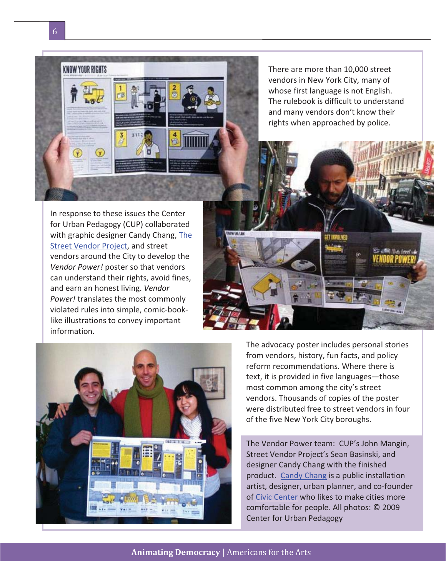

There are more than 10,000 street vendors in New York City, many of whose first language is not English. The rulebook is difficult to understand and many vendors don't know their rights when approached by police.

In response to these issues the Center for Urban Pedagogy (CUP) collaborated with graphic designer Candy Chang, The Street Vendor Project, and street vendors around the City to develop the *Vendor Power!* poster so that vendors can understand their rights, avoid fines, and earn an honest living. *Vendor Power!* translates the most commonly violated rules into simple, comic-booklike illustrations to convey important information.





The advocacy poster includes personal stories from vendors, history, fun facts, and policy reform recommendations. Where there is text, it is provided in five languages—those most common among the city's street vendors. Thousands of copies of the poster were distributed free to street vendors in four of the five New York City boroughs.

The Vendor Power team: CUP's John Mangin, Street Vendor Project's Sean Basinski, and designer Candy Chang with the finished product. Candy Chang is a public installation artist, designer, urban planner, and co-founder of Civic Center who likes to make cities more comfortable for people. All photos: © 2009 Center for Urban Pedagogy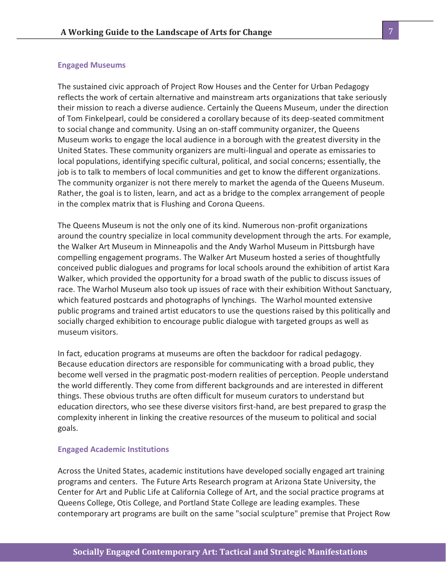#### **Engaged Museums**

The sustained civic approach of Project Row Houses and the Center for Urban Pedagogy reflects the work of certain alternative and mainstream arts organizations that take seriously their mission to reach a diverse audience. Certainly the Queens Museum, under the direction of Tom Finkelpearl, could be considered a corollary because of its deep-seated commitment to social change and community. Using an on-staff community organizer, the Queens Museum works to engage the local audience in a borough with the greatest diversity in the United States. These community organizers are multi-lingual and operate as emissaries to local populations, identifying specific cultural, political, and social concerns; essentially, the job is to talk to members of local communities and get to know the different organizations. The community organizer is not there merely to market the agenda of the Queens Museum. Rather, the goal is to listen, learn, and act as a bridge to the complex arrangement of people in the complex matrix that is Flushing and Corona Queens.

The Queens Museum is not the only one of its kind. Numerous non-profit organizations around the country specialize in local community development through the arts. For example, the Walker Art Museum in Minneapolis and the Andy Warhol Museum in Pittsburgh have compelling engagement programs. The Walker Art Museum hosted a series of thoughtfully conceived public dialogues and programs for local schools around the exhibition of artist Kara Walker, which provided the opportunity for a broad swath of the public to discuss issues of race. The Warhol Museum also took up issues of race with their exhibition Without Sanctuary, which featured postcards and photographs of lynchings. The Warhol mounted extensive public programs and trained artist educators to use the questions raised by this politically and socially charged exhibition to encourage public dialogue with targeted groups as well as museum visitors.

In fact, education programs at museums are often the backdoor for radical pedagogy. Because education directors are responsible for communicating with a broad public, they become well versed in the pragmatic post-modern realities of perception. People understand the world differently. They come from different backgrounds and are interested in different things. These obvious truths are often difficult for museum curators to understand but education directors, who see these diverse visitors first-hand, are best prepared to grasp the complexity inherent in linking the creative resources of the museum to political and social goals.

#### **Engaged Academic Institutions**

Across the United States, academic institutions have developed socially engaged art training programs and centers. The Future Arts Research program at Arizona State University, the Center for Art and Public Life at California College of Art, and the social practice programs at Queens College, Otis College, and Portland State College are leading examples. These contemporary art programs are built on the same "social sculpture" premise that Project Row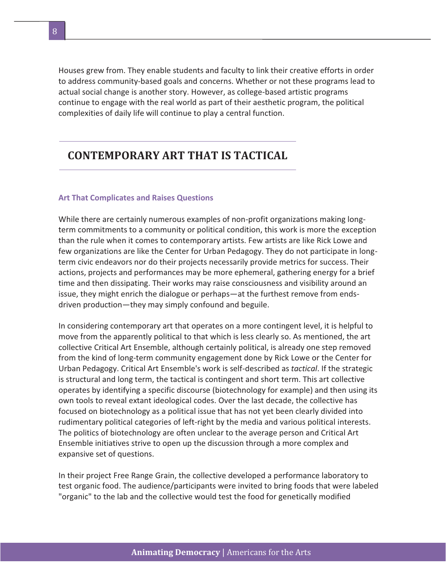Houses grew from. They enable students and faculty to link their creative efforts in order to address community-based goals and concerns. Whether or not these programs lead to actual social change is another story. However, as college-based artistic programs continue to engage with the real world as part of their aesthetic program, the political complexities of daily life will continue to play a central function.

## **CONTEMPORARY ART THAT IS TACTICAL**

#### **Art That Complicates and Raises Questions**

While there are certainly numerous examples of non-profit organizations making longterm commitments to a community or political condition, this work is more the exception than the rule when it comes to contemporary artists. Few artists are like Rick Lowe and few organizations are like the Center for Urban Pedagogy. They do not participate in longterm civic endeavors nor do their projects necessarily provide metrics for success. Their actions, projects and performances may be more ephemeral, gathering energy for a brief time and then dissipating. Their works may raise consciousness and visibility around an issue, they might enrich the dialogue or perhaps—at the furthest remove from endsdriven production—they may simply confound and beguile.

In considering contemporary art that operates on a more contingent level, it is helpful to move from the apparently political to that which is less clearly so. As mentioned, the art collective Critical Art Ensemble, although certainly political, is already one step removed from the kind of long-term community engagement done by Rick Lowe or the Center for Urban Pedagogy. Critical Art Ensemble's work is self-described as *tactical*. If the strategic is structural and long term, the tactical is contingent and short term. This art collective operates by identifying a specific discourse (biotechnology for example) and then using its own tools to reveal extant ideological codes. Over the last decade, the collective has focused on biotechnology as a political issue that has not yet been clearly divided into rudimentary political categories of left-right by the media and various political interests. The politics of biotechnology are often unclear to the average person and Critical Art Ensemble initiatives strive to open up the discussion through a more complex and expansive set of questions.

In their project Free Range Grain, the collective developed a performance laboratory to test organic food. The audience/participants were invited to bring foods that were labeled "organic" to the lab and the collective would test the food for genetically modified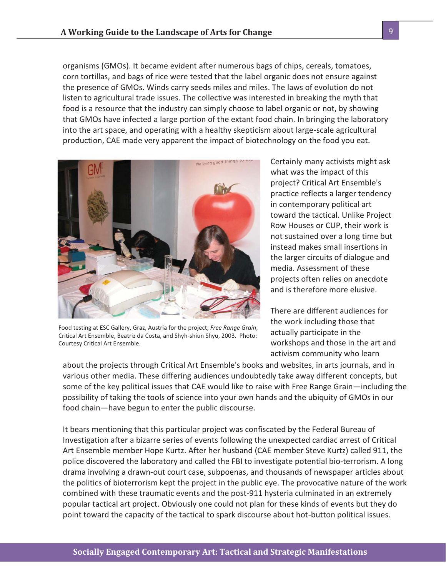organisms (GMOs). It became evident after numerous bags of chips, cereals, tomatoes, corn tortillas, and bags of rice were tested that the label organic does not ensure against the presence of GMOs. Winds carry seeds miles and miles. The laws of evolution do not listen to agricultural trade issues. The collective was interested in breaking the myth that food is a resource that the industry can simply choose to label organic or not, by showing that GMOs have infected a large portion of the extant food chain. In bringing the laboratory into the art space, and operating with a healthy skepticism about large-scale agricultural production, CAE made very apparent the impact of biotechnology on the food you eat.



Food testing at ESC Gallery, Graz, Austria for the project, *Free Range Grain*, Critical Art Ensemble, Beatriz da Costa, and Shyh-shiun Shyu, 2003. Photo: Courtesy Critical Art Ensemble.

Certainly many activists might ask what was the impact of this project? Critical Art Ensemble's practice reflects a larger tendency in contemporary political art toward the tactical. Unlike Project Row Houses or CUP, their work is not sustained over a long time but instead makes small insertions in the larger circuits of dialogue and media. Assessment of these projects often relies on anecdote and is therefore more elusive.

There are different audiences for the work including those that actually participate in the workshops and those in the art and activism community who learn

about the projects through Critical Art Ensemble's books and websites, in arts journals, and in various other media. These differing audiences undoubtedly take away different concepts, but some of the key political issues that CAE would like to raise with Free Range Grain—including the possibility of taking the tools of science into your own hands and the ubiquity of GMOs in our food chain—have begun to enter the public discourse.

It bears mentioning that this particular project was confiscated by the Federal Bureau of Investigation after a bizarre series of events following the unexpected cardiac arrest of Critical Art Ensemble member Hope Kurtz. After her husband (CAE member Steve Kurtz) called 911, the police discovered the laboratory and called the FBI to investigate potential bio-terrorism. A long drama involving a drawn-out court case, subpoenas, and thousands of newspaper articles about the politics of bioterrorism kept the project in the public eye. The provocative nature of the work combined with these traumatic events and the post-911 hysteria culminated in an extremely popular tactical art project. Obviously one could not plan for these kinds of events but they do point toward the capacity of the tactical to spark discourse about hot-button political issues.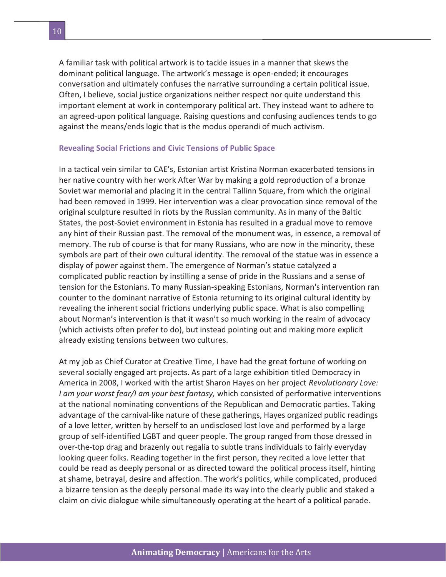A familiar task with political artwork is to tackle issues in a manner that skews the dominant political language. The artwork's message is open-ended; it encourages conversation and ultimately confuses the narrative surrounding a certain political issue. Often, I believe, social justice organizations neither respect nor quite understand this important element at work in contemporary political art. They instead want to adhere to an agreed-upon political language. Raising questions and confusing audiences tends to go against the means/ends logic that is the modus operandi of much activism.

#### **Revealing Social Frictions and Civic Tensions of Public Space**

In a tactical vein similar to CAE's, Estonian artist Kristina Norman exacerbated tensions in her native country with her work After War by making a gold reproduction of a bronze Soviet war memorial and placing it in the central Tallinn Square, from which the original had been removed in 1999. Her intervention was a clear provocation since removal of the original sculpture resulted in riots by the Russian community. As in many of the Baltic States, the post-Soviet environment in Estonia has resulted in a gradual move to remove any hint of their Russian past. The removal of the monument was, in essence, a removal of memory. The rub of course is that for many Russians, who are now in the minority, these symbols are part of their own cultural identity. The removal of the statue was in essence a display of power against them. The emergence of Norman's statue catalyzed a complicated public reaction by instilling a sense of pride in the Russians and a sense of tension for the Estonians. To many Russian-speaking Estonians, Norman's intervention ran counter to the dominant narrative of Estonia returning to its original cultural identity by revealing the inherent social frictions underlying public space. What is also compelling about Norman's intervention is that it wasn't so much working in the realm of advocacy (which activists often prefer to do), but instead pointing out and making more explicit already existing tensions between two cultures.

At my job as Chief Curator at Creative Time, I have had the great fortune of working on several socially engaged art projects. As part of a large exhibition titled Democracy in America in 2008, I worked with the artist Sharon Hayes on her project *Revolutionary Love: I am your worst fear/I am your best fantasy,* which consisted of performative interventions at the national nominating conventions of the Republican and Democratic parties. Taking advantage of the carnival-like nature of these gatherings, Hayes organized public readings of a love letter, written by herself to an undisclosed lost love and performed by a large group of self-identified LGBT and queer people. The group ranged from those dressed in over-the-top drag and brazenly out regalia to subtle trans individuals to fairly everyday looking queer folks. Reading together in the first person, they recited a love letter that could be read as deeply personal or as directed toward the political process itself, hinting at shame, betrayal, desire and affection. The work's politics, while complicated, produced a bizarre tension as the deeply personal made its way into the clearly public and staked a claim on civic dialogue while simultaneously operating at the heart of a political parade.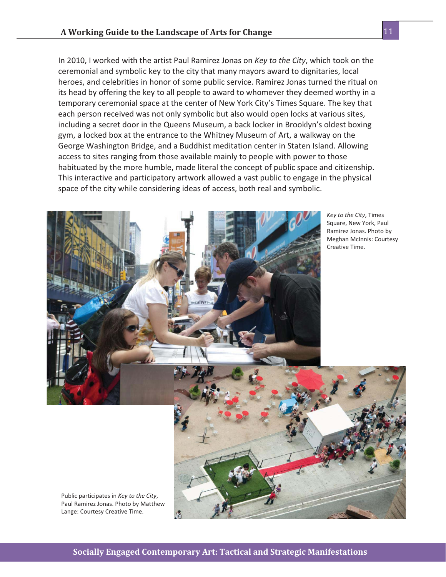In 2010, I worked with the artist Paul Ramirez Jonas on *Key to the City*, which took on the ceremonial and symbolic key to the city that many mayors award to dignitaries, local heroes, and celebrities in honor of some public service. Ramirez Jonas turned the ritual on its head by offering the key to all people to award to whomever they deemed worthy in a temporary ceremonial space at the center of New York City's Times Square. The key that each person received was not only symbolic but also would open locks at various sites, including a secret door in the Queens Museum, a back locker in Brooklyn's oldest boxing gym, a locked box at the entrance to the Whitney Museum of Art, a walkway on the George Washington Bridge, and a Buddhist meditation center in Staten Island. Allowing access to sites ranging from those available mainly to people with power to those habituated by the more humble, made literal the concept of public space and citizenship. This interactive and participatory artwork allowed a vast public to engage in the physical space of the city while considering ideas of access, both real and symbolic.



*Key to the City*, Times Square, New York, Paul Ramirez Jonas. Photo by Meghan McInnis: Courtesy

Paul Ramirez Jonas. Photo by Matthew Lange: Courtesy Creative Time.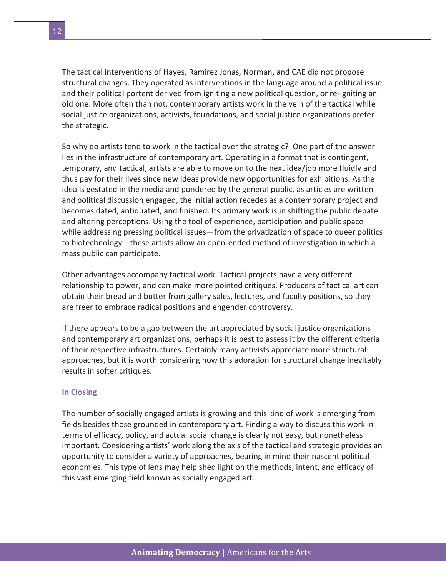The tactical interventions of Hayes, Ramirez Jonas, Norman, and CAE did not propose structural changes. They operated as interventions in the language around a political issue and their political portent derived from igniting a new political question, or re-igniting an old one. More often than not, contemporary artists work in the vein of the tactical while social justice organizations, activists, foundations, and social justice organizations prefer the strategic.

So why do artists tend to work in the tactical over the strategic? One part of the answer lies in the infrastructure of contemporary art. Operating in a format that is contingent, temporary, and tactical, artists are able to move on to the next idea/job more fluidly and thus pay for their lives since new ideas provide new opportunities for exhibitions. As the idea is gestated in the media and pondered by the general public, as articles are written and political discussion engaged, the initial action recedes as a contemporary project and becomes dated, antiquated, and finished. Its primary work is in shifting the public debate and altering perceptions. Using the tool of experience, participation and public space while addressing pressing political issues—from the privatization of space to queer politics to biotechnology—these artists allow an open-ended method of investigation in which a mass public can participate.

Other advantages accompany tactical work. Tactical projects have a very different relationship to power, and can make more pointed critiques. Producers of tactical art can obtain their bread and butter from gallery sales, lectures, and faculty positions, so they are freer to embrace radical positions and engender controversy.

If there appears to be a gap between the art appreciated by social justice organizations and contemporary art organizations, perhaps it is best to assess it by the different criteria of their respective infrastructures. Certainly many activists appreciate more structural approaches, but it is worth considering how this adoration for structural change inevitably results in softer critiques.

## **In Closing**

The number of socially engaged artists is growing and this kind of work is emerging from fields besides those grounded in contemporary art. Finding a way to discuss this work in terms of efficacy, policy, and actual social change is clearly not easy, but nonetheless important. Considering artists' work along the axis of the tactical and strategic provides an opportunity to consider a variety of approaches, bearing in mind their nascent political economies. This type of lens may help shed light on the methods, intent, and efficacy of this vast emerging field known as socially engaged art.